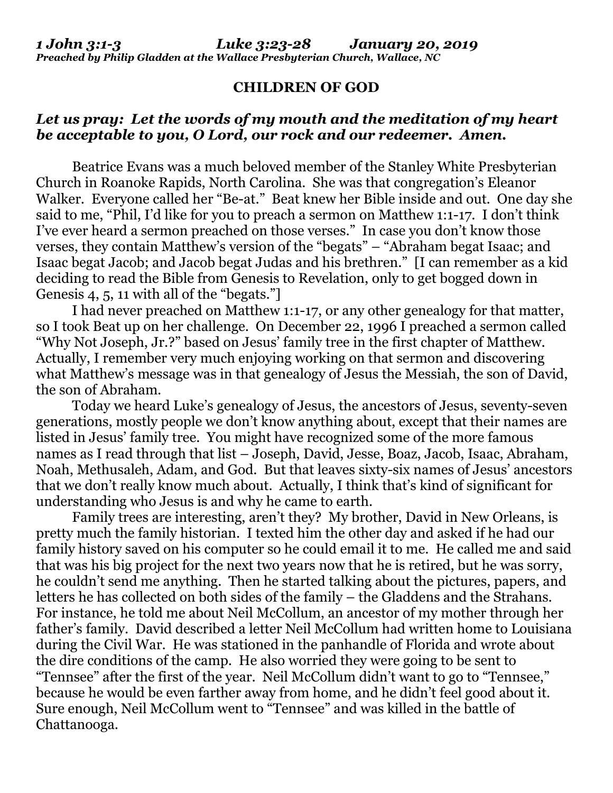## **CHILDREN OF GOD**

## *Let us pray: Let the words of my mouth and the meditation of my heart be acceptable to you, O Lord, our rock and our redeemer. Amen.*

Beatrice Evans was a much beloved member of the Stanley White Presbyterian Church in Roanoke Rapids, North Carolina. She was that congregation's Eleanor Walker. Everyone called her "Be-at." Beat knew her Bible inside and out. One day she said to me, "Phil, I'd like for you to preach a sermon on Matthew 1:1-17. I don't think I've ever heard a sermon preached on those verses." In case you don't know those verses, they contain Matthew's version of the "begats" – "Abraham begat Isaac; and Isaac begat Jacob; and Jacob begat Judas and his brethren." [I can remember as a kid deciding to read the Bible from Genesis to Revelation, only to get bogged down in Genesis 4, 5, 11 with all of the "begats."]

I had never preached on Matthew 1:1-17, or any other genealogy for that matter, so I took Beat up on her challenge. On December 22, 1996 I preached a sermon called "Why Not Joseph, Jr.?" based on Jesus' family tree in the first chapter of Matthew. Actually, I remember very much enjoying working on that sermon and discovering what Matthew's message was in that genealogy of Jesus the Messiah, the son of David, the son of Abraham.

Today we heard Luke's genealogy of Jesus, the ancestors of Jesus, seventy-seven generations, mostly people we don't know anything about, except that their names are listed in Jesus' family tree. You might have recognized some of the more famous names as I read through that list – Joseph, David, Jesse, Boaz, Jacob, Isaac, Abraham, Noah, Methusaleh, Adam, and God. But that leaves sixty-six names of Jesus' ancestors that we don't really know much about. Actually, I think that's kind of significant for understanding who Jesus is and why he came to earth.

Family trees are interesting, aren't they? My brother, David in New Orleans, is pretty much the family historian. I texted him the other day and asked if he had our family history saved on his computer so he could email it to me. He called me and said that was his big project for the next two years now that he is retired, but he was sorry, he couldn't send me anything. Then he started talking about the pictures, papers, and letters he has collected on both sides of the family – the Gladdens and the Strahans. For instance, he told me about Neil McCollum, an ancestor of my mother through her father's family. David described a letter Neil McCollum had written home to Louisiana during the Civil War. He was stationed in the panhandle of Florida and wrote about the dire conditions of the camp. He also worried they were going to be sent to "Tennsee" after the first of the year. Neil McCollum didn't want to go to "Tennsee," because he would be even farther away from home, and he didn't feel good about it. Sure enough, Neil McCollum went to "Tennsee" and was killed in the battle of Chattanooga.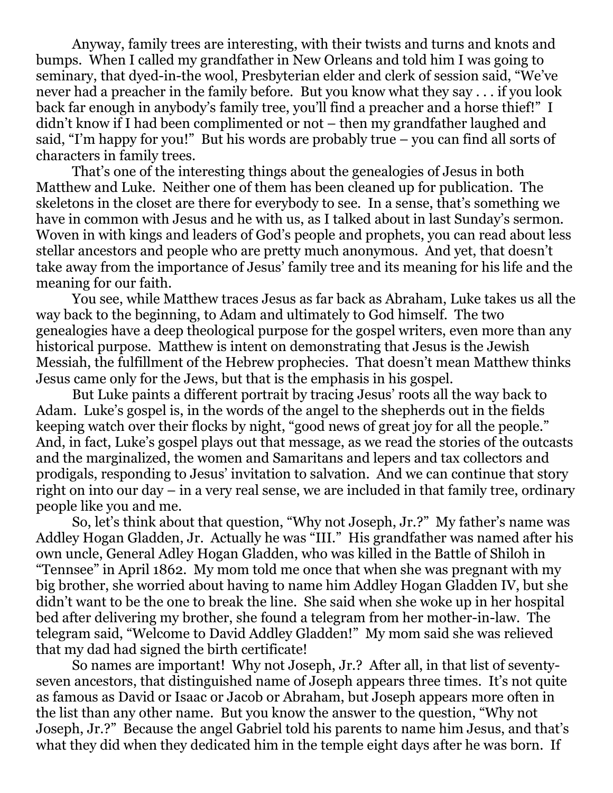Anyway, family trees are interesting, with their twists and turns and knots and bumps. When I called my grandfather in New Orleans and told him I was going to seminary, that dyed-in-the wool, Presbyterian elder and clerk of session said, "We've never had a preacher in the family before. But you know what they say . . . if you look back far enough in anybody's family tree, you'll find a preacher and a horse thief!" I didn't know if I had been complimented or not – then my grandfather laughed and said, "I'm happy for you!" But his words are probably true – you can find all sorts of characters in family trees.

That's one of the interesting things about the genealogies of Jesus in both Matthew and Luke. Neither one of them has been cleaned up for publication. The skeletons in the closet are there for everybody to see. In a sense, that's something we have in common with Jesus and he with us, as I talked about in last Sunday's sermon. Woven in with kings and leaders of God's people and prophets, you can read about less stellar ancestors and people who are pretty much anonymous. And yet, that doesn't take away from the importance of Jesus' family tree and its meaning for his life and the meaning for our faith.

You see, while Matthew traces Jesus as far back as Abraham, Luke takes us all the way back to the beginning, to Adam and ultimately to God himself. The two genealogies have a deep theological purpose for the gospel writers, even more than any historical purpose. Matthew is intent on demonstrating that Jesus is the Jewish Messiah, the fulfillment of the Hebrew prophecies. That doesn't mean Matthew thinks Jesus came only for the Jews, but that is the emphasis in his gospel.

But Luke paints a different portrait by tracing Jesus' roots all the way back to Adam. Luke's gospel is, in the words of the angel to the shepherds out in the fields keeping watch over their flocks by night, "good news of great joy for all the people." And, in fact, Luke's gospel plays out that message, as we read the stories of the outcasts and the marginalized, the women and Samaritans and lepers and tax collectors and prodigals, responding to Jesus' invitation to salvation. And we can continue that story right on into our day – in a very real sense, we are included in that family tree, ordinary people like you and me.

So, let's think about that question, "Why not Joseph, Jr.?" My father's name was Addley Hogan Gladden, Jr. Actually he was "III." His grandfather was named after his own uncle, General Adley Hogan Gladden, who was killed in the Battle of Shiloh in "Tennsee" in April 1862. My mom told me once that when she was pregnant with my big brother, she worried about having to name him Addley Hogan Gladden IV, but she didn't want to be the one to break the line. She said when she woke up in her hospital bed after delivering my brother, she found a telegram from her mother-in-law. The telegram said, "Welcome to David Addley Gladden!" My mom said she was relieved that my dad had signed the birth certificate!

So names are important! Why not Joseph, Jr.? After all, in that list of seventyseven ancestors, that distinguished name of Joseph appears three times. It's not quite as famous as David or Isaac or Jacob or Abraham, but Joseph appears more often in the list than any other name. But you know the answer to the question, "Why not Joseph, Jr.?" Because the angel Gabriel told his parents to name him Jesus, and that's what they did when they dedicated him in the temple eight days after he was born. If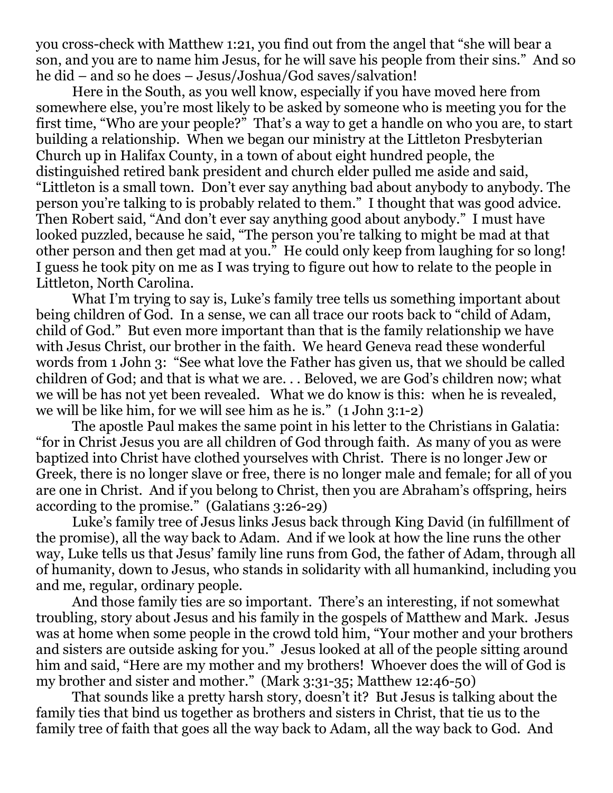you cross-check with Matthew 1:21, you find out from the angel that "she will bear a son, and you are to name him Jesus, for he will save his people from their sins." And so he did – and so he does – Jesus/Joshua/God saves/salvation!

Here in the South, as you well know, especially if you have moved here from somewhere else, you're most likely to be asked by someone who is meeting you for the first time, "Who are your people?" That's a way to get a handle on who you are, to start building a relationship. When we began our ministry at the Littleton Presbyterian Church up in Halifax County, in a town of about eight hundred people, the distinguished retired bank president and church elder pulled me aside and said, "Littleton is a small town. Don't ever say anything bad about anybody to anybody. The person you're talking to is probably related to them." I thought that was good advice. Then Robert said, "And don't ever say anything good about anybody." I must have looked puzzled, because he said, "The person you're talking to might be mad at that other person and then get mad at you." He could only keep from laughing for so long! I guess he took pity on me as I was trying to figure out how to relate to the people in Littleton, North Carolina.

What I'm trying to say is, Luke's family tree tells us something important about being children of God. In a sense, we can all trace our roots back to "child of Adam, child of God." But even more important than that is the family relationship we have with Jesus Christ, our brother in the faith. We heard Geneva read these wonderful words from 1 John 3: "See what love the Father has given us, that we should be called children of God; and that is what we are. . . Beloved, we are God's children now; what we will be has not yet been revealed. What we do know is this: when he is revealed, we will be like him, for we will see him as he is." (1 John 3:1-2)

The apostle Paul makes the same point in his letter to the Christians in Galatia: "for in Christ Jesus you are all children of God through faith. As many of you as were baptized into Christ have clothed yourselves with Christ. There is no longer Jew or Greek, there is no longer slave or free, there is no longer male and female; for all of you are one in Christ. And if you belong to Christ, then you are Abraham's offspring, heirs according to the promise." (Galatians 3:26-29)

Luke's family tree of Jesus links Jesus back through King David (in fulfillment of the promise), all the way back to Adam. And if we look at how the line runs the other way, Luke tells us that Jesus' family line runs from God, the father of Adam, through all of humanity, down to Jesus, who stands in solidarity with all humankind, including you and me, regular, ordinary people.

And those family ties are so important. There's an interesting, if not somewhat troubling, story about Jesus and his family in the gospels of Matthew and Mark. Jesus was at home when some people in the crowd told him, "Your mother and your brothers and sisters are outside asking for you." Jesus looked at all of the people sitting around him and said, "Here are my mother and my brothers! Whoever does the will of God is my brother and sister and mother." (Mark 3:31-35; Matthew 12:46-50)

That sounds like a pretty harsh story, doesn't it? But Jesus is talking about the family ties that bind us together as brothers and sisters in Christ, that tie us to the family tree of faith that goes all the way back to Adam, all the way back to God. And